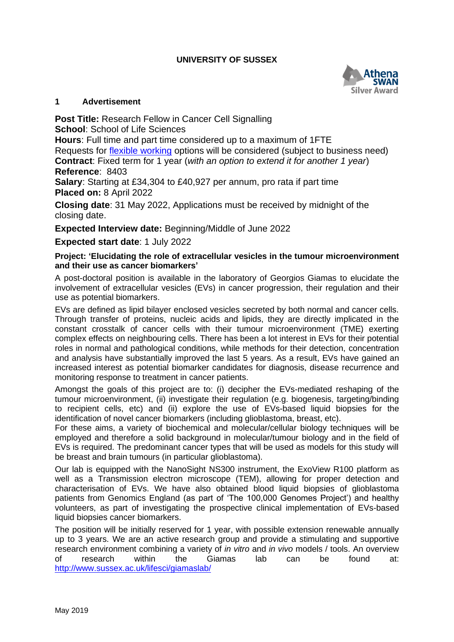## **UNIVERSITY OF SUSSEX**



### **1 Advertisement**

**Post Title:** Research Fellow in Cancer Cell Signalling **School**: School of Life Sciences **Hours**: Full time and part time considered up to a maximum of 1FTE

Requests for [flexible working](http://www.sussex.ac.uk/humanresources/personnel/flexible-working) options will be considered (subject to business need) **Contract**: Fixed term for 1 year (*with an option to extend it for another 1 year*) **Reference**: 8403

**Salary**: Starting at £34,304 to £40,927 per annum, pro rata if part time **Placed on:** 8 April 2022

**Closing date**: 31 May 2022, Applications must be received by midnight of the closing date.

**Expected Interview date:** Beginning/Middle of June 2022

**Expected start date**: 1 July 2022

### **Project: 'Elucidating the role of extracellular vesicles in the tumour microenvironment and their use as cancer biomarkers'**

A post-doctoral position is available in the laboratory of Georgios Giamas to elucidate the involvement of extracellular vesicles (EVs) in cancer progression, their regulation and their use as potential biomarkers.

EVs are defined as lipid bilayer enclosed vesicles secreted by both normal and cancer cells. Through transfer of proteins, nucleic acids and lipids, they are directly implicated in the constant crosstalk of cancer cells with their tumour microenvironment (TME) exerting complex effects on neighbouring cells. There has been a lot interest in EVs for their potential roles in normal and pathological conditions, while methods for their detection, concentration and analysis have substantially improved the last 5 years. As a result, EVs have gained an increased interest as potential biomarker candidates for diagnosis, disease recurrence and monitoring response to treatment in cancer patients.

Amongst the goals of this project are to: (i) decipher the EVs-mediated reshaping of the tumour microenvironment, (ii) investigate their regulation (e.g. biogenesis, targeting/binding to recipient cells, etc) and (ii) explore the use of EVs-based liquid biopsies for the identification of novel cancer biomarkers (including glioblastoma, breast, etc).

For these aims, a variety of biochemical and molecular/cellular biology techniques will be employed and therefore a solid background in molecular/tumour biology and in the field of EVs is required. The predominant cancer types that will be used as models for this study will be breast and brain tumours (in particular glioblastoma).

Our lab is equipped with the NanoSight NS300 instrument, the ExoView R100 platform as well as a Transmission electron microscope (TEM), allowing for proper detection and characterisation of EVs. We have also obtained blood liquid biopsies of glioblastoma patients from Genomics England (as part of 'The 100,000 Genomes Project') and healthy volunteers, as part of investigating the prospective clinical implementation of EVs-based liquid biopsies cancer biomarkers.

The position will be initially reserved for 1 year, with possible extension renewable annually up to 3 years. We are an active research group and provide a stimulating and supportive research environment combining a variety of *in vitro* and *in vivo* models / tools. An overview of research within the Giamas lab can be found at: <http://www.sussex.ac.uk/lifesci/giamaslab/>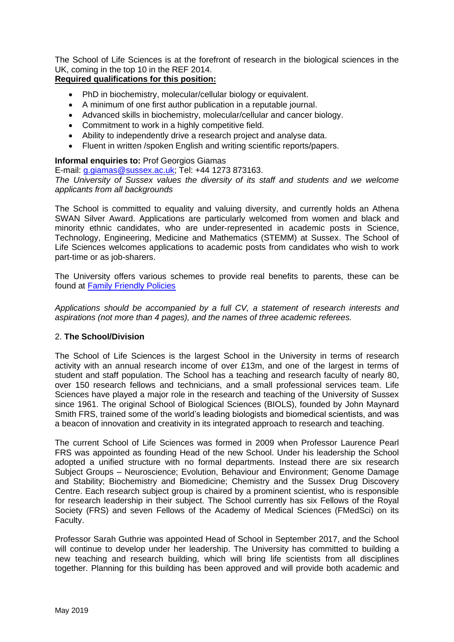The School of Life Sciences is at the forefront of research in the biological sciences in the UK, coming in the top 10 in the REF 2014.

# **Required qualifications for this position:**

- PhD in biochemistry, molecular/cellular biology or equivalent.
- A minimum of one first author publication in a reputable journal.
- Advanced skills in biochemistry, molecular/cellular and cancer biology.
- Commitment to work in a highly competitive field.
- Ability to independently drive a research project and analyse data.
- Fluent in written /spoken English and writing scientific reports/papers.

### **Informal enquiries to:** Prof Georgios Giamas

E-mail: [g.giamas@sussex.ac.uk;](mailto:g.giamas@sussex.ac.uk) Tel: +44 1273 873163.

*The University of Sussex values the diversity of its staff and students and we welcome applicants from all backgrounds*

The School is committed to equality and valuing diversity, and currently holds an Athena SWAN Silver Award. Applications are particularly welcomed from women and black and minority ethnic candidates, who are under-represented in academic posts in Science, Technology, Engineering, Medicine and Mathematics (STEMM) at Sussex. The School of Life Sciences welcomes applications to academic posts from candidates who wish to work part-time or as job-sharers.

The University offers various schemes to provide real benefits to parents, these can be found at [Family Friendly Policies](http://www.sussex.ac.uk/humanresources/personnel/familyfriendlypolicies)

*Applications should be accompanied by a full CV, a statement of research interests and aspirations (not more than 4 pages), and the names of three academic referees.*

## 2. **The School/Division**

The School of Life Sciences is the largest School in the University in terms of research activity with an annual research income of over £13m, and one of the largest in terms of student and staff population. The School has a teaching and research faculty of nearly 80, over 150 research fellows and technicians, and a small professional services team. Life Sciences have played a major role in the research and teaching of the University of Sussex since 1961. The original School of Biological Sciences (BIOLS), founded by John Maynard Smith FRS, trained some of the world's leading biologists and biomedical scientists, and was a beacon of innovation and creativity in its integrated approach to research and teaching.

The current School of Life Sciences was formed in 2009 when Professor Laurence Pearl FRS was appointed as founding Head of the new School. Under his leadership the School adopted a unified structure with no formal departments. Instead there are six research Subject Groups – Neuroscience; Evolution, Behaviour and Environment; Genome Damage and Stability; Biochemistry and Biomedicine; Chemistry and the Sussex Drug Discovery Centre. Each research subject group is chaired by a prominent scientist, who is responsible for research leadership in their subject. The School currently has six Fellows of the Royal Society (FRS) and seven Fellows of the Academy of Medical Sciences (FMedSci) on its Faculty.

Professor Sarah Guthrie was appointed Head of School in September 2017, and the School will continue to develop under her leadership. The University has committed to building a new teaching and research building, which will bring life scientists from all disciplines together. Planning for this building has been approved and will provide both academic and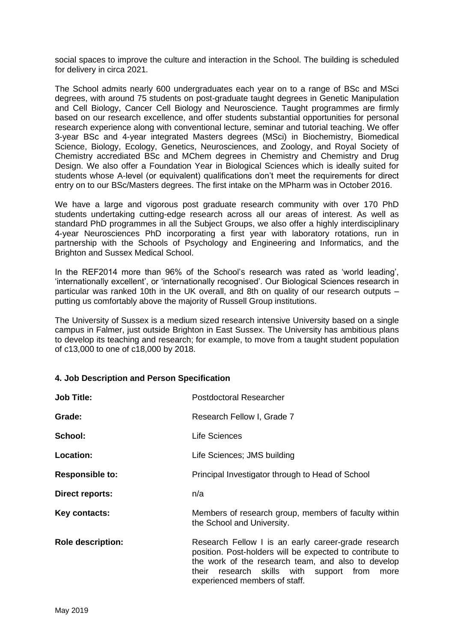social spaces to improve the culture and interaction in the School. The building is scheduled for delivery in circa 2021.

The School admits nearly 600 undergraduates each year on to a range of BSc and MSci degrees, with around 75 students on post-graduate taught degrees in Genetic Manipulation and Cell Biology, Cancer Cell Biology and Neuroscience. Taught programmes are firmly based on our research excellence, and offer students substantial opportunities for personal research experience along with conventional lecture, seminar and tutorial teaching. We offer 3-year BSc and 4-year integrated Masters degrees (MSci) in Biochemistry, Biomedical Science, Biology, Ecology, Genetics, Neurosciences, and Zoology, and Royal Society of Chemistry accrediated BSc and MChem degrees in Chemistry and Chemistry and Drug Design. We also offer a Foundation Year in Biological Sciences which is ideally suited for students whose A-level (or equivalent) qualifications don't meet the requirements for direct entry on to our BSc/Masters degrees. The first intake on the MPharm was in October 2016.

We have a large and vigorous post graduate research community with over 170 PhD students undertaking cutting-edge research across all our areas of interest. As well as standard PhD programmes in all the Subject Groups, we also offer a highly interdisciplinary 4-year Neurosciences PhD incorporating a first year with laboratory rotations, run in partnership with the Schools of Psychology and Engineering and Informatics, and the Brighton and Sussex Medical School.

In the REF2014 more than 96% of the School's research was rated as 'world leading', 'internationally excellent', or 'internationally recognised'. Our Biological Sciences research in particular was ranked 10th in the UK overall, and 8th on quality of our research outputs – putting us comfortably above the majority of Russell Group institutions.

The University of Sussex is a medium sized research intensive University based on a single campus in Falmer, just outside Brighton in East Sussex. The University has ambitious plans to develop its teaching and research; for example, to move from a taught student population of c13,000 to one of c18,000 by 2018.

### **4. Job Description and Person Specification**

| <b>Job Title:</b>        | <b>Postdoctoral Researcher</b>                                                                                                                                                                                                                               |
|--------------------------|--------------------------------------------------------------------------------------------------------------------------------------------------------------------------------------------------------------------------------------------------------------|
| Grade:                   | Research Fellow I, Grade 7                                                                                                                                                                                                                                   |
| School:                  | <b>Life Sciences</b>                                                                                                                                                                                                                                         |
| <b>Location:</b>         | Life Sciences; JMS building                                                                                                                                                                                                                                  |
| <b>Responsible to:</b>   | Principal Investigator through to Head of School                                                                                                                                                                                                             |
| Direct reports:          | n/a                                                                                                                                                                                                                                                          |
| Key contacts:            | Members of research group, members of faculty within<br>the School and University.                                                                                                                                                                           |
| <b>Role description:</b> | Research Fellow I is an early career-grade research<br>position. Post-holders will be expected to contribute to<br>the work of the research team, and also to develop<br>their research skills with<br>support from<br>more<br>experienced members of staff. |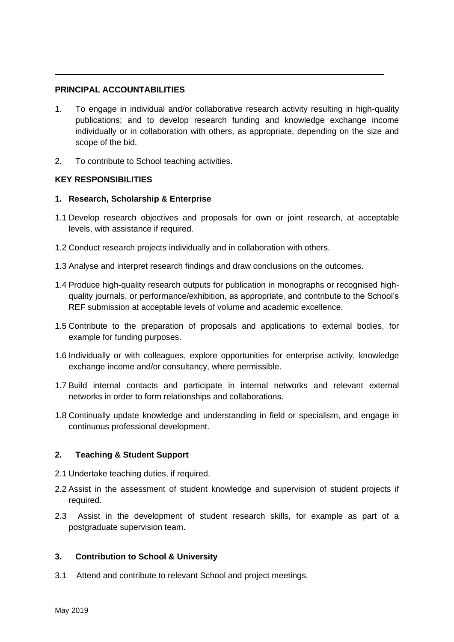## **PRINCIPAL ACCOUNTABILITIES**

- 1. To engage in individual and/or collaborative research activity resulting in high-quality publications; and to develop research funding and knowledge exchange income individually or in collaboration with others, as appropriate, depending on the size and scope of the bid.
- 2. To contribute to School teaching activities.

## **KEY RESPONSIBILITIES**

## **1. Research, Scholarship & Enterprise**

- 1.1 Develop research objectives and proposals for own or joint research, at acceptable levels, with assistance if required.
- 1.2 Conduct research projects individually and in collaboration with others.
- 1.3 Analyse and interpret research findings and draw conclusions on the outcomes.
- 1.4 Produce high-quality research outputs for publication in monographs or recognised highquality journals, or performance/exhibition, as appropriate, and contribute to the School's REF submission at acceptable levels of volume and academic excellence.
- 1.5 Contribute to the preparation of proposals and applications to external bodies, for example for funding purposes.
- 1.6 Individually or with colleagues, explore opportunities for enterprise activity, knowledge exchange income and/or consultancy, where permissible.
- 1.7 Build internal contacts and participate in internal networks and relevant external networks in order to form relationships and collaborations.
- 1.8 Continually update knowledge and understanding in field or specialism, and engage in continuous professional development.

# **2. Teaching & Student Support**

- 2.1 Undertake teaching duties, if required.
- 2.2 Assist in the assessment of student knowledge and supervision of student projects if required.
- 2.3 Assist in the development of student research skills, for example as part of a postgraduate supervision team.

## **3. Contribution to School & University**

3.1 Attend and contribute to relevant School and project meetings.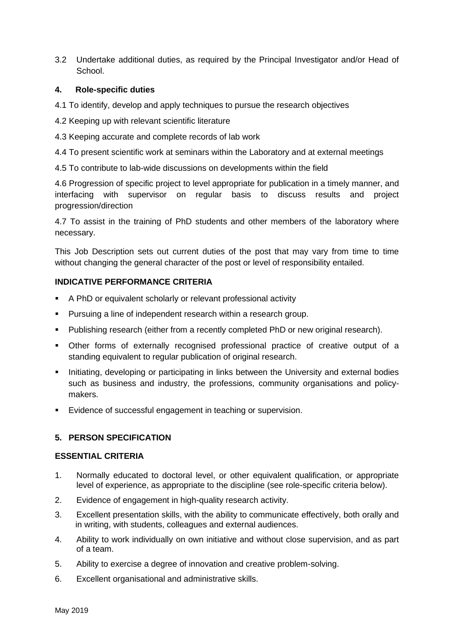3.2 Undertake additional duties, as required by the Principal Investigator and/or Head of School.

### **4. Role-specific duties**

- 4.1 To identify, develop and apply techniques to pursue the research objectives
- 4.2 Keeping up with relevant scientific literature
- 4.3 Keeping accurate and complete records of lab work
- 4.4 To present scientific work at seminars within the Laboratory and at external meetings
- 4.5 To contribute to lab-wide discussions on developments within the field

4.6 Progression of specific project to level appropriate for publication in a timely manner, and interfacing with supervisor on regular basis to discuss results and project progression/direction

4.7 To assist in the training of PhD students and other members of the laboratory where necessary.

This Job Description sets out current duties of the post that may vary from time to time without changing the general character of the post or level of responsibility entailed.

### **INDICATIVE PERFORMANCE CRITERIA**

- A PhD or equivalent scholarly or relevant professional activity
- Pursuing a line of independent research within a research group.
- Publishing research (either from a recently completed PhD or new original research).
- Other forms of externally recognised professional practice of creative output of a standing equivalent to regular publication of original research.
- **E** Initiating, developing or participating in links between the University and external bodies such as business and industry, the professions, community organisations and policymakers.
- Evidence of successful engagement in teaching or supervision.

## **5. PERSON SPECIFICATION**

### **ESSENTIAL CRITERIA**

- 1. Normally educated to doctoral level, or other equivalent qualification, or appropriate level of experience, as appropriate to the discipline (see role-specific criteria below).
- 2. Evidence of engagement in high-quality research activity.
- 3. Excellent presentation skills, with the ability to communicate effectively, both orally and in writing, with students, colleagues and external audiences.
- 4. Ability to work individually on own initiative and without close supervision, and as part of a team.
- 5. Ability to exercise a degree of innovation and creative problem-solving.
- 6. Excellent organisational and administrative skills.